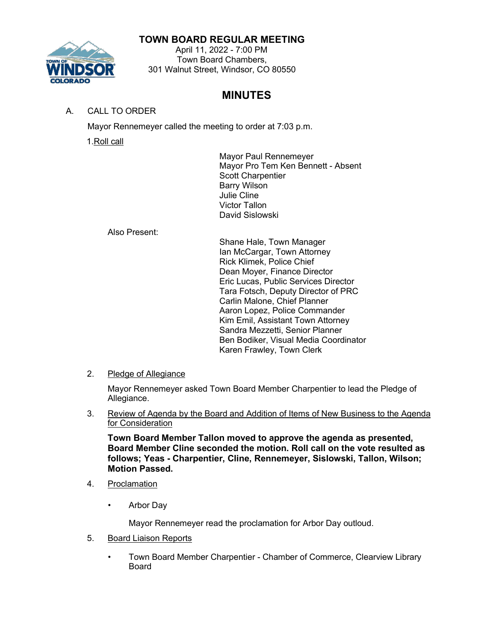## **TOWN BOARD REGULAR MEETING**



#### April 11, 2022 - 7:00 PM Town Board Chambers, 301 Walnut Street, Windsor, CO 80550

# **MINUTES**

A. CALL TO ORDER

Mayor Rennemeyer called the meeting to order at 7:03 p.m.

1.Roll call

Mayor Paul Rennemeyer Mayor Pro Tem Ken Bennett - Absent Scott Charpentier Barry Wilson Julie Cline Victor Tallon David Sislowski

Also Present:

Shane Hale, Town Manager Ian McCargar, Town Attorney Rick Klimek, Police Chief Dean Moyer, Finance Director Eric Lucas, Public Services Director Tara Fotsch, Deputy Director of PRC Carlin Malone, Chief Planner Aaron Lopez, Police Commander Kim Emil, Assistant Town Attorney Sandra Mezzetti, Senior Planner Ben Bodiker, Visual Media Coordinator Karen Frawley, Town Clerk

2. Pledge of Allegiance

Mayor Rennemeyer asked Town Board Member Charpentier to lead the Pledge of Allegiance.

3. Review of Agenda by the Board and Addition of Items of New Business to the Agenda for Consideration

**Town Board Member Tallon moved to approve the agenda as presented, Board Member Cline seconded the motion. Roll call on the vote resulted as follows; Yeas - Charpentier, Cline, Rennemeyer, Sislowski, Tallon, Wilson; Motion Passed.**

- 4. Proclamation
	- Arbor Day

Mayor Rennemeyer read the proclamation for Arbor Day outloud.

- 5. Board Liaison Reports
	- Town Board Member Charpentier Chamber of Commerce, Clearview Library Board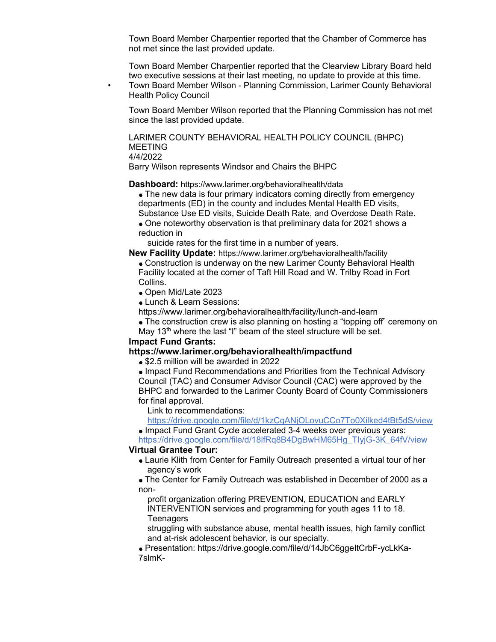Town Board Member Charpentier reported that the Chamber of Commerce has not met since the last provided update.

Town Board Member Charpentier reported that the Clearview Library Board held two executive sessions at their last meeting, no update to provide at this time. • Town Board Member Wilson - Planning Commission, Larimer County Behavioral Health Policy Council

Town Board Member Wilson reported that the Planning Commission has not met since the last provided update.

LARIMER COUNTY BEHAVIORAL HEALTH POLICY COUNCIL (BHPC) MEETING 4/4/2022

Barry Wilson represents Windsor and Chairs the BHPC

**Dashboard:** [https://www.larimer.org/behavioralhealth/data](https://gcc02.safelinks.protection.outlook.com/?url=https%3A%2F%2Flinkprotect.cudasvc.com%2Furl%3Fa%3Dhttps%253a%252f%252fwww.larimer.org%252fbehavioralhealth%252fdata%26c%3DE%2C1%2CLldbWpS8TJhkZWRCATvJK3Tlp1O22iCB8eKYdDoNiaD6pUkT0vJ8Ck9hpx1hAv2CYbOQVeZga9lpopd_Ln98G2us_Q78MXZl7E6s8J_5mjlxPD-RHWY-PU95QZ9h%26typo%3D1&data=04%7C01%7Ckfrawley%40windsorgov.com%7Cb6d4815f73f041e182eb08da1c0ce121%7C8cd5248526ac475f8091ecd589ec32ae%7C0%7C0%7C637853139057536511%7CUnknown%7CTWFpbGZsb3d8eyJWIjoiMC4wLjAwMDAiLCJQIjoiV2luMzIiLCJBTiI6Ik1haWwiLCJXVCI6Mn0%3D%7C3000&sdata=2r%2FrxSzE%2FeHappqr8LrFLPbrgZawgdaxo8dDbQj7KYk%3D&reserved=0)

- The new data is four primary indicators coming directly from emergency departments (ED) in the county and includes Mental Health ED visits, Substance Use ED visits, Suicide Death Rate, and Overdose Death Rate.
- One noteworthy observation is that preliminary data for 2021 shows a reduction in

suicide rates for the first time in a number of years.

**New Facility Update:** [https://www.larimer.org/behavioralhealth/facility](https://gcc02.safelinks.protection.outlook.com/?url=https%3A%2F%2Flinkprotect.cudasvc.com%2Furl%3Fa%3Dhttps%253a%252f%252fwww.larimer.org%252fbehavioralhealth%252ffacility%26c%3DE%2C1%2COJqiwSlaAucHeFy-9ls1U2aljNKOMYh0jgb81sKzJEKVz1AsCgwDheloA895GI7PJ-z-sCPnGGMrQ6b2LkJK2S3q5ZAG3lFRsZnmWhgXpRk1mlijXC0k%26typo%3D1&data=04%7C01%7Ckfrawley%40windsorgov.com%7Cb6d4815f73f041e182eb08da1c0ce121%7C8cd5248526ac475f8091ecd589ec32ae%7C0%7C0%7C637853139057536511%7CUnknown%7CTWFpbGZsb3d8eyJWIjoiMC4wLjAwMDAiLCJQIjoiV2luMzIiLCJBTiI6Ik1haWwiLCJXVCI6Mn0%3D%7C3000&sdata=erBwFINZ7EaxfDthqjlYqs52egP7FF0rl6cBpvf4bAc%3D&reserved=0)

Construction is underway on the new Larimer County Behavioral Health Facility located at the corner of Taft Hill Road and W. Trilby Road in Fort Collins.

- Open Mid/Late 2023
- [Lunch & Learn Sessions:](https://gcc02.safelinks.protection.outlook.com/?url=https%3A%2F%2Flinkprotect.cudasvc.com%2Furl%3Fa%3Dhttps%253a%252f%252fwww.larimer.org%252fbehavioralhealth%252ffacility%252flunch-and-learn%26c%3DE%2C1%2C2CdLtnckusIorARte8-_Nmt7zyczQb6eejVLKu33KfavM-YzvVIpwlsbvENyplbDJQe-ovVIY-J_r6jgQ7LsmT_Y7PKDewATm0jfvy--FAy3OaU%2C%26typo%3D1&data=04%7C01%7Ckfrawley%40windsorgov.com%7Cb6d4815f73f041e182eb08da1c0ce121%7C8cd5248526ac475f8091ecd589ec32ae%7C0%7C0%7C637853139057692313%7CUnknown%7CTWFpbGZsb3d8eyJWIjoiMC4wLjAwMDAiLCJQIjoiV2luMzIiLCJBTiI6Ik1haWwiLCJXVCI6Mn0%3D%7C3000&sdata=DD2TavnNnJ%2Bn4tmWd3OhiE%2Bpx%2FiUGpPihvnnURb173M%3D&reserved=0)

[https://www.larimer.org/behavioralhealth/facility/lunch-and-learn](https://gcc02.safelinks.protection.outlook.com/?url=https%3A%2F%2Flinkprotect.cudasvc.com%2Furl%3Fa%3Dhttps%253a%252f%252fwww.larimer.org%252fbehavioralhealth%252ffacility%252flunch-and-learn%26c%3DE%2C1%2C2CdLtnckusIorARte8-_Nmt7zyczQb6eejVLKu33KfavM-YzvVIpwlsbvENyplbDJQe-ovVIY-J_r6jgQ7LsmT_Y7PKDewATm0jfvy--FAy3OaU%2C%26typo%3D1&data=04%7C01%7Ckfrawley%40windsorgov.com%7Cb6d4815f73f041e182eb08da1c0ce121%7C8cd5248526ac475f8091ecd589ec32ae%7C0%7C0%7C637853139057692313%7CUnknown%7CTWFpbGZsb3d8eyJWIjoiMC4wLjAwMDAiLCJQIjoiV2luMzIiLCJBTiI6Ik1haWwiLCJXVCI6Mn0%3D%7C3000&sdata=DD2TavnNnJ%2Bn4tmWd3OhiE%2Bpx%2FiUGpPihvnnURb173M%3D&reserved=0)

- The construction crew is also planning on hosting a "topping off" ceremony on
- May 13<sup>th</sup> where the last "I" beam of the steel structure will be set.

#### **Impact Fund Grants:**

#### **[https://www.larimer.org/behavioralhealth/impactfund](https://gcc02.safelinks.protection.outlook.com/?url=https%3A%2F%2Flinkprotect.cudasvc.com%2Furl%3Fa%3Dhttps%253a%252f%252fwww.larimer.org%252fbehavioralhealth%252fimpactfund%26c%3DE%2C1%2C0la9Bfap7BrnEpQyxtjbSe6Jwfqt41mlUjzgo-In23Y8lJ1B6jsXrhs46WivAGn2XjYAzyxpCB7onpJstcBQG0zbo5knoOr-7oJqJMRbJ1aupNigaA%2C%2C%26typo%3D1&data=04%7C01%7Ckfrawley%40windsorgov.com%7Cb6d4815f73f041e182eb08da1c0ce121%7C8cd5248526ac475f8091ecd589ec32ae%7C0%7C0%7C637853139057692313%7CUnknown%7CTWFpbGZsb3d8eyJWIjoiMC4wLjAwMDAiLCJQIjoiV2luMzIiLCJBTiI6Ik1haWwiLCJXVCI6Mn0%3D%7C3000&sdata=Jy72BvtAQ2%2FkeHnfwu0lWbfbe0MbU%2FKmlyThyMq%2FYFo%3D&reserved=0)**

**\$2.5 million will be awarded in 2022** 

• Impact Fund Recommendations and Priorities from the Technical Advisory Council (TAC) and Consumer Advisor Council (CAC) were approved by the BHPC and forwarded to the Larimer County Board of County Commissioners for final approval.

Link to recommendations:

[https://drive.google.com/file/d/1kzCqANjOLovuCCo7To0Xilked4tBt5dS/view](https://gcc02.safelinks.protection.outlook.com/?url=https%3A%2F%2Fdrive.google.com%2Ffile%2Fd%2F1kzCqANjOLovuCCo7To0Xilked4tBt5dS%2Fview&data=04%7C01%7Ckfrawley%40windsorgov.com%7Cb6d4815f73f041e182eb08da1c0ce121%7C8cd5248526ac475f8091ecd589ec32ae%7C0%7C0%7C637853139057692313%7CUnknown%7CTWFpbGZsb3d8eyJWIjoiMC4wLjAwMDAiLCJQIjoiV2luMzIiLCJBTiI6Ik1haWwiLCJXVCI6Mn0%3D%7C3000&sdata=vrHB8O7Wptr%2FSEZ0EBCISX4R3DpXdsI1b9%2FPg5p7ttY%3D&reserved=0) • Impact Fund Grant Cycle accelerated 3-4 weeks over previous years:

[https://drive.google.com/file/d/18lfRq8B4DgBwHM65Hg\\_TIyjG-3K\\_64fV/view](https://gcc02.safelinks.protection.outlook.com/?url=https%3A%2F%2Fdrive.google.com%2Ffile%2Fd%2F18lfRq8B4DgBwHM65Hg_TIyjG-3K_64fV%2Fview&data=04%7C01%7Ckfrawley%40windsorgov.com%7Cb6d4815f73f041e182eb08da1c0ce121%7C8cd5248526ac475f8091ecd589ec32ae%7C0%7C0%7C637853139057692313%7CUnknown%7CTWFpbGZsb3d8eyJWIjoiMC4wLjAwMDAiLCJQIjoiV2luMzIiLCJBTiI6Ik1haWwiLCJXVCI6Mn0%3D%7C3000&sdata=%2FHVwnOnhOBStu%2BOdqqDF9hgaIz21wQAJ5BWbVhEpsww%3D&reserved=0) **Virtual Grantee Tour:**

## Laurie Klith from Center for Family Outreach presented a virtual tour of her agency's work

The Center for Family Outreach was established in December of 2000 as a non-

profit organization offering PREVENTION, EDUCATION and EARLY INTERVENTION services and programming for youth ages 11 to 18. **Teenagers** 

struggling with substance abuse, mental health issues, high family conflict and at-risk adolescent behavior, is our specialty.

• [Presentation: https://drive.google.com/file/d/14JbC6ggeItCrbF-ycLkKa-](https://gcc02.safelinks.protection.outlook.com/?url=https%3A%2F%2Fdrive.google.com%2Ffile%2Fd%2F14JbC6ggeItCrbF-ycLkKa-7slmK-uRZ1%2Fview&data=04%7C01%7Ckfrawley%40windsorgov.com%7Cb6d4815f73f041e182eb08da1c0ce121%7C8cd5248526ac475f8091ecd589ec32ae%7C0%7C0%7C637853139057692313%7CUnknown%7CTWFpbGZsb3d8eyJWIjoiMC4wLjAwMDAiLCJQIjoiV2luMzIiLCJBTiI6Ik1haWwiLCJXVCI6Mn0%3D%7C3000&sdata=PWdoNNB5FITCI%2FjrMbJAbTQPFyyUFqBEiyvHUjNqvHM%3D&reserved=0)[7slmK-](https://gcc02.safelinks.protection.outlook.com/?url=https%3A%2F%2Fdrive.google.com%2Ffile%2Fd%2F14JbC6ggeItCrbF-ycLkKa-7slmK-uRZ1%2Fview&data=04%7C01%7Ckfrawley%40windsorgov.com%7Cb6d4815f73f041e182eb08da1c0ce121%7C8cd5248526ac475f8091ecd589ec32ae%7C0%7C0%7C637853139057692313%7CUnknown%7CTWFpbGZsb3d8eyJWIjoiMC4wLjAwMDAiLCJQIjoiV2luMzIiLCJBTiI6Ik1haWwiLCJXVCI6Mn0%3D%7C3000&sdata=PWdoNNB5FITCI%2FjrMbJAbTQPFyyUFqBEiyvHUjNqvHM%3D&reserved=0)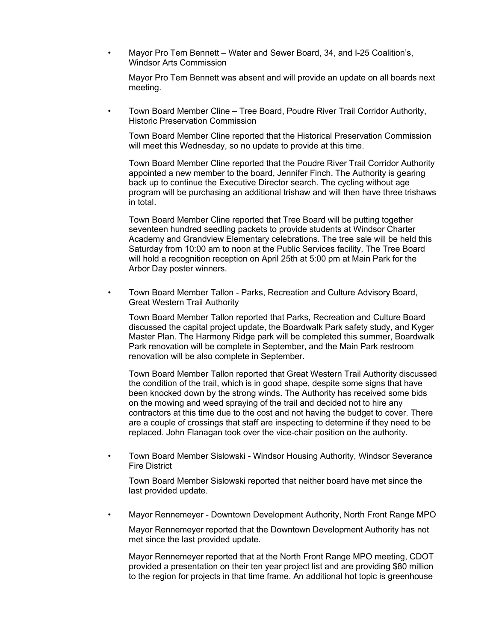• Mayor Pro Tem Bennett – Water and Sewer Board, 34, and I-25 Coalition's, Windsor Arts Commission

Mayor Pro Tem Bennett was absent and will provide an update on all boards next meeting.

• Town Board Member Cline – Tree Board, Poudre River Trail Corridor Authority, Historic Preservation Commission

Town Board Member Cline reported that the Historical Preservation Commission will meet this Wednesday, so no update to provide at this time.

Town Board Member Cline reported that the Poudre River Trail Corridor Authority appointed a new member to the board, Jennifer Finch. The Authority is gearing back up to continue the Executive Director search. The cycling without age program will be purchasing an additional trishaw and will then have three trishaws in total.

Town Board Member Cline reported that Tree Board will be putting together seventeen hundred seedling packets to provide students at Windsor Charter Academy and Grandview Elementary celebrations. The tree sale will be held this Saturday from 10:00 am to noon at the Public Services facility. The Tree Board will hold a recognition reception on April 25th at 5:00 pm at Main Park for the Arbor Day poster winners.

• Town Board Member Tallon - Parks, Recreation and Culture Advisory Board, Great Western Trail Authority

Town Board Member Tallon reported that Parks, Recreation and Culture Board discussed the capital project update, the Boardwalk Park safety study, and Kyger Master Plan. The Harmony Ridge park will be completed this summer, Boardwalk Park renovation will be complete in September, and the Main Park restroom renovation will be also complete in September.

Town Board Member Tallon reported that Great Western Trail Authority discussed the condition of the trail, which is in good shape, despite some signs that have been knocked down by the strong winds. The Authority has received some bids on the mowing and weed spraying of the trail and decided not to hire any contractors at this time due to the cost and not having the budget to cover. There are a couple of crossings that staff are inspecting to determine if they need to be replaced. John Flanagan took over the vice-chair position on the authority.

• Town Board Member Sislowski - Windsor Housing Authority, Windsor Severance Fire District

Town Board Member Sislowski reported that neither board have met since the last provided update.

• Mayor Rennemeyer - Downtown Development Authority, North Front Range MPO

Mayor Rennemeyer reported that the Downtown Development Authority has not met since the last provided update.

Mayor Rennemeyer reported that at the North Front Range MPO meeting, CDOT provided a presentation on their ten year project list and are providing \$80 million to the region for projects in that time frame. An additional hot topic is greenhouse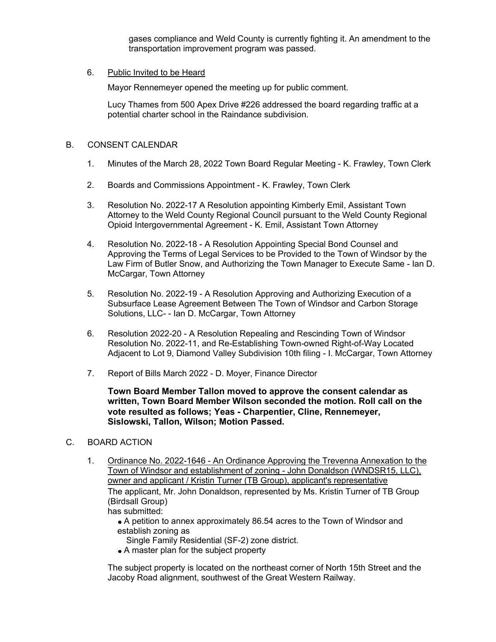gases compliance and Weld County is currently fighting it. An amendment to the transportation improvement program was passed.

#### 6. Public Invited to be Heard

Mayor Rennemeyer opened the meeting up for public comment.

Lucy Thames from 500 Apex Drive #226 addressed the board regarding traffic at a potential charter school in the Raindance subdivision.

#### B. CONSENT CALENDAR

- 1. Minutes of the March 28, 2022 Town Board Regular Meeting K. Frawley, Town Clerk
- 2. Boards and Commissions Appointment K. Frawley, Town Clerk
- 3. Resolution No. 2022-17 A Resolution appointing Kimberly Emil, Assistant Town Attorney to the Weld County Regional Council pursuant to the Weld County Regional Opioid Intergovernmental Agreement - K. Emil, Assistant Town Attorney
- 4. Resolution No. 2022-18 A Resolution Appointing Special Bond Counsel and Approving the Terms of Legal Services to be Provided to the Town of Windsor by the Law Firm of Butler Snow, and Authorizing the Town Manager to Execute Same - Ian D. McCargar, Town Attorney
- 5. Resolution No. 2022-19 A Resolution Approving and Authorizing Execution of a Subsurface Lease Agreement Between The Town of Windsor and Carbon Storage Solutions, LLC- - Ian D. McCargar, Town Attorney
- 6. Resolution 2022-20 A Resolution Repealing and Rescinding Town of Windsor Resolution No. 2022-11, and Re-Establishing Town-owned Right-of-Way Located Adjacent to Lot 9, Diamond Valley Subdivision 10th filing - I. McCargar, Town Attorney
- 7. Report of Bills March 2022 D. Moyer, Finance Director

**Town Board Member Tallon moved to approve the consent calendar as written, Town Board Member Wilson seconded the motion. Roll call on the vote resulted as follows; Yeas - Charpentier, Cline, Rennemeyer, Sislowski, Tallon, Wilson; Motion Passed.**

#### C. BOARD ACTION

- 1. Ordinance No. 2022-1646 An Ordinance Approving the Trevenna Annexation to the Town of Windsor and establishment of zoning - John Donaldson (WNDSR15, LLC), owner and applicant / Kristin Turner (TB Group), applicant's representative The applicant, Mr. John Donaldson, represented by Ms. Kristin Turner of TB Group (Birdsall Group) has submitted:
	- A petition to annex approximately 86.54 acres to the Town of Windsor and establish zoning as
		- Single Family Residential (SF-2) zone district.
	- A master plan for the subject property

The subject property is located on the northeast corner of North 15th Street and the Jacoby Road alignment, southwest of the Great Western Railway.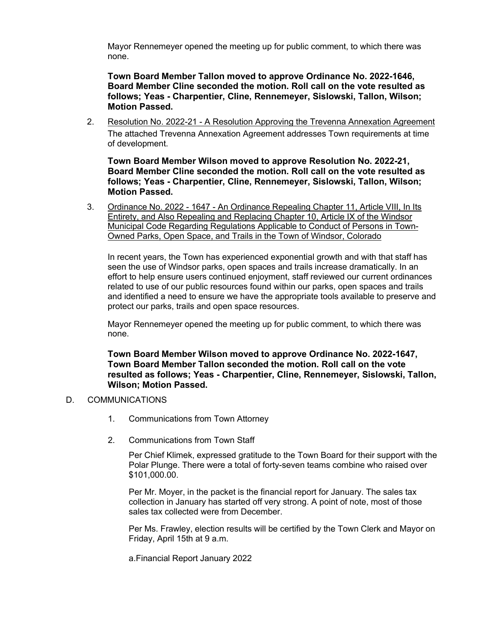Mayor Rennemeyer opened the meeting up for public comment, to which there was none.

**Town Board Member Tallon moved to approve Ordinance No. 2022-1646, Board Member Cline seconded the motion. Roll call on the vote resulted as follows; Yeas - Charpentier, Cline, Rennemeyer, Sislowski, Tallon, Wilson; Motion Passed.**

2. Resolution No. 2022-21 - A Resolution Approving the Trevenna Annexation Agreement The attached Trevenna Annexation Agreement addresses Town requirements at time of development.

**Town Board Member Wilson moved to approve Resolution No. 2022-21, Board Member Cline seconded the motion. Roll call on the vote resulted as follows; Yeas - Charpentier, Cline, Rennemeyer, Sislowski, Tallon, Wilson; Motion Passed.**

3. Ordinance No. 2022 - 1647 - An Ordinance Repealing Chapter 11, Article VIII, In Its Entirety, and Also Repealing and Replacing Chapter 10, Article IX of the Windsor Municipal Code Regarding Regulations Applicable to Conduct of Persons in Town-Owned Parks, Open Space, and Trails in the Town of Windsor, Colorado

In recent years, the Town has experienced exponential growth and with that staff has seen the use of Windsor parks, open spaces and trails increase dramatically. In an effort to help ensure users continued enjoyment, staff reviewed our current ordinances related to use of our public resources found within our parks, open spaces and trails and identified a need to ensure we have the appropriate tools available to preserve and protect our parks, trails and open space resources.

Mayor Rennemeyer opened the meeting up for public comment, to which there was none.

**Town Board Member Wilson moved to approve Ordinance No. 2022-1647, Town Board Member Tallon seconded the motion. Roll call on the vote resulted as follows; Yeas - Charpentier, Cline, Rennemeyer, Sislowski, Tallon, Wilson; Motion Passed.**

### D. COMMUNICATIONS

- 1. Communications from Town Attorney
- 2. Communications from Town Staff

Per Chief Klimek, expressed gratitude to the Town Board for their support with the Polar Plunge. There were a total of forty-seven teams combine who raised over \$101,000.00.

Per Mr. Moyer, in the packet is the financial report for January. The sales tax collection in January has started off very strong. A point of note, most of those sales tax collected were from December.

Per Ms. Frawley, election results will be certified by the Town Clerk and Mayor on Friday, April 15th at 9 a.m.

a.Financial Report January 2022